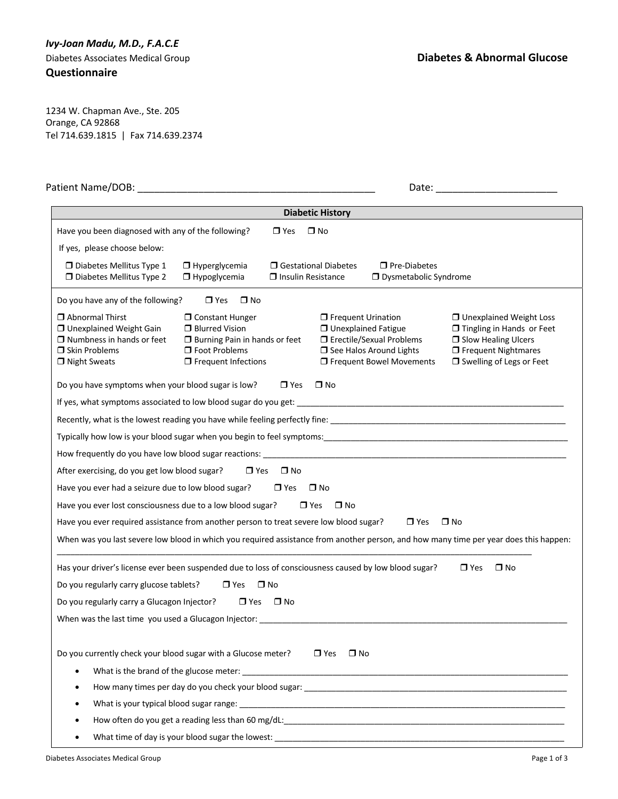## *Ivy-Joan Madu, M.D., F.A.C.E*

**Questionnaire**

1234 W. Chapman Ave., Ste. 205 Orange, CA 92868 Tel 714.639.1815 | Fax 714.639.2374

| Patient Name/DOB:                                                                                                                                                                                                                                                                    |                                                                                                                                                                                                                                |                                                |                                                    |                                                                                       | Date: the contract of the contract of the contract of the contract of the contract of the contract of the contract of the contract of the contract of the contract of the contract of the contract of the contract of the cont |
|--------------------------------------------------------------------------------------------------------------------------------------------------------------------------------------------------------------------------------------------------------------------------------------|--------------------------------------------------------------------------------------------------------------------------------------------------------------------------------------------------------------------------------|------------------------------------------------|----------------------------------------------------|---------------------------------------------------------------------------------------|--------------------------------------------------------------------------------------------------------------------------------------------------------------------------------------------------------------------------------|
|                                                                                                                                                                                                                                                                                      |                                                                                                                                                                                                                                |                                                | <b>Diabetic History</b>                            |                                                                                       |                                                                                                                                                                                                                                |
| Have you been diagnosed with any of the following?                                                                                                                                                                                                                                   |                                                                                                                                                                                                                                | $\Box$ Yes                                     | $\Box$ No                                          |                                                                                       |                                                                                                                                                                                                                                |
| If yes, please choose below:                                                                                                                                                                                                                                                         |                                                                                                                                                                                                                                |                                                |                                                    |                                                                                       |                                                                                                                                                                                                                                |
| $\Box$ Diabetes Mellitus Type 1<br>D Diabetes Mellitus Type 2                                                                                                                                                                                                                        | $\Box$ Hyperglycemia<br>$\Box$ Hypoglycemia                                                                                                                                                                                    | □ Gestational Diabetes<br>□ Insulin Resistance |                                                    | $\square$ Pre-Diabetes<br>□ Dysmetabolic Syndrome                                     |                                                                                                                                                                                                                                |
| Do you have any of the following?                                                                                                                                                                                                                                                    | $\Box$ Yes<br>$\square$ No                                                                                                                                                                                                     |                                                |                                                    |                                                                                       |                                                                                                                                                                                                                                |
| $\Box$ Abnormal Thirst<br>□ Unexplained Weight Gain<br>$\Box$ Numbness in hands or feet<br>$\Box$ Skin Problems<br>$\Box$ Night Sweats                                                                                                                                               | □ Constant Hunger<br><b>D</b> Blurred Vision<br><b>J</b> Burning Pain in hands or feet<br>□ Foot Problems<br>$\Box$ Frequent Infections                                                                                        |                                                | $\Box$ Frequent Urination<br>□ Unexplained Fatigue | □ Erectile/Sexual Problems<br>□ See Halos Around Lights<br>□ Frequent Bowel Movements | □ Unexplained Weight Loss<br>□ Tingling in Hands or Feet<br><b>J</b> Slow Healing Ulcers<br><b>O</b> Frequent Nightmares<br>□ Swelling of Legs or Feet                                                                         |
| Do you have symptoms when your blood sugar is low?                                                                                                                                                                                                                                   |                                                                                                                                                                                                                                | $\Box$ Yes                                     | $\square$ No                                       |                                                                                       |                                                                                                                                                                                                                                |
| If yes, what symptoms associated to low blood sugar do you get:                                                                                                                                                                                                                      |                                                                                                                                                                                                                                |                                                |                                                    |                                                                                       |                                                                                                                                                                                                                                |
|                                                                                                                                                                                                                                                                                      |                                                                                                                                                                                                                                |                                                |                                                    |                                                                                       |                                                                                                                                                                                                                                |
|                                                                                                                                                                                                                                                                                      |                                                                                                                                                                                                                                |                                                |                                                    |                                                                                       |                                                                                                                                                                                                                                |
|                                                                                                                                                                                                                                                                                      |                                                                                                                                                                                                                                |                                                |                                                    |                                                                                       |                                                                                                                                                                                                                                |
| After exercising, do you get low blood sugar?                                                                                                                                                                                                                                        | $\Box$ Yes                                                                                                                                                                                                                     | $\square$ No                                   |                                                    |                                                                                       |                                                                                                                                                                                                                                |
| Have you ever had a seizure due to low blood sugar?                                                                                                                                                                                                                                  |                                                                                                                                                                                                                                | $\Box$ Yes                                     | $\square$ No                                       |                                                                                       |                                                                                                                                                                                                                                |
| Have you ever lost consciousness due to a low blood sugar?                                                                                                                                                                                                                           |                                                                                                                                                                                                                                | $\Box$ Yes                                     | $\square$ No                                       |                                                                                       |                                                                                                                                                                                                                                |
| Have you ever required assistance from another person to treat severe low blood sugar?                                                                                                                                                                                               |                                                                                                                                                                                                                                |                                                |                                                    | $\Box$ Yes                                                                            | $\square$ No                                                                                                                                                                                                                   |
|                                                                                                                                                                                                                                                                                      |                                                                                                                                                                                                                                |                                                |                                                    |                                                                                       | When was you last severe low blood in which you required assistance from another person, and how many time per year does this happen:                                                                                          |
| Has your driver's license ever been suspended due to loss of consciousness caused by low blood sugar?<br>Do you regularly carry glucose tablets?<br>Do you regularly carry a Glucagon Injector?<br>When was the last time you used a Glucagon Injector: ____________________________ | $\Box$ Yes<br>$\Box$ Yes                                                                                                                                                                                                       | $\square$ No<br>$\Box$ No                      |                                                    |                                                                                       | $\Box$ Yes<br>$\square$ No                                                                                                                                                                                                     |
| Do you currently check your blood sugar with a Glucose meter?<br>$\bullet$                                                                                                                                                                                                           | How many times per day do you check your blood sugar: North Communication of the control of the control of the                                                                                                                 |                                                | $\Box$ Yes<br>$\square$ No                         |                                                                                       |                                                                                                                                                                                                                                |
|                                                                                                                                                                                                                                                                                      |                                                                                                                                                                                                                                |                                                |                                                    |                                                                                       |                                                                                                                                                                                                                                |
|                                                                                                                                                                                                                                                                                      | How often do you get a reading less than 60 mg/dL: https://www.com/community.com/community/international/www.community.com/community/international/www.community.com/community/international/www.community/international/www.c |                                                |                                                    |                                                                                       |                                                                                                                                                                                                                                |
| $\bullet$                                                                                                                                                                                                                                                                            | What time of day is your blood sugar the lowest:                                                                                                                                                                               |                                                |                                                    |                                                                                       |                                                                                                                                                                                                                                |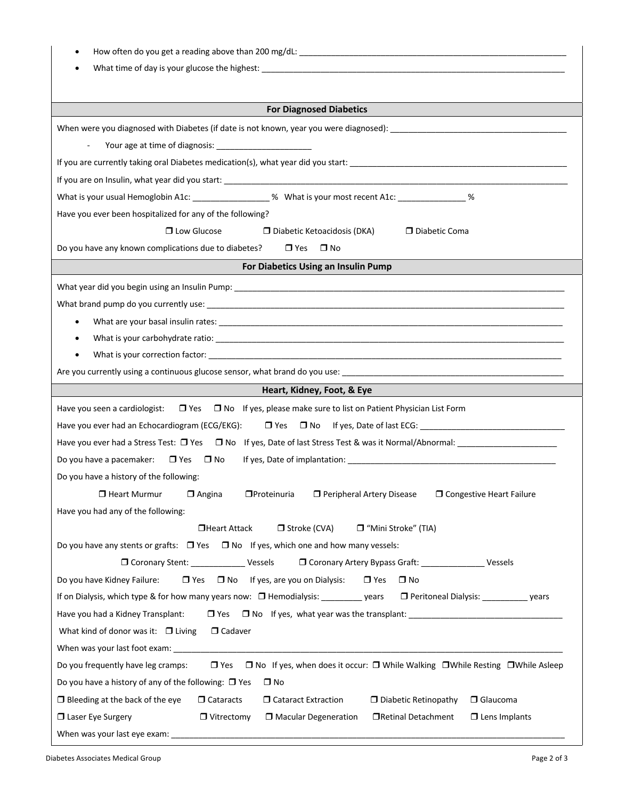| <b>For Diagnosed Diabetics</b>                                                                                                                                                                                                 |
|--------------------------------------------------------------------------------------------------------------------------------------------------------------------------------------------------------------------------------|
|                                                                                                                                                                                                                                |
| $\blacksquare$                                                                                                                                                                                                                 |
|                                                                                                                                                                                                                                |
|                                                                                                                                                                                                                                |
| What is your usual Hemoglobin A1c: __________________% What is your most recent A1c: _______________%                                                                                                                          |
| Have you ever been hospitalized for any of the following?                                                                                                                                                                      |
| □ Low Glucose<br>Diabetic Coma<br>$\Box$ Diabetic Ketoacidosis (DKA)                                                                                                                                                           |
| Do you have any known complications due to diabetes?<br>$\Box$ Yes $\Box$ No                                                                                                                                                   |
| For Diabetics Using an Insulin Pump                                                                                                                                                                                            |
|                                                                                                                                                                                                                                |
| What brand pump do you currently use: Note that the set of the set of the set of the set of the set of the set of the set of the set of the set of the set of the set of the set of the set of the set of the set of the set o |
| $\bullet$                                                                                                                                                                                                                      |
| What is your carbohydrate ratio: example and a set of the set of the set of the set of the set of the set of the set of the set of the set of the set of the set of the set of the set of the set of the set of the set of the |
|                                                                                                                                                                                                                                |
|                                                                                                                                                                                                                                |
| Heart, Kidney, Foot, & Eye                                                                                                                                                                                                     |
| Have you seen a cardiologist: □ Yes □ No If yes, please make sure to list on Patient Physician List Form                                                                                                                       |
|                                                                                                                                                                                                                                |
| Have you ever had a Stress Test: $\Box$ Yes $\Box$ No If yes, Date of last Stress Test & was it Normal/Abnormal:                                                                                                               |
| Do you have a pacemaker: $\Box$ Yes $\Box$ No                                                                                                                                                                                  |
| Do you have a history of the following:                                                                                                                                                                                        |
| □ Heart Murmur □ Angina □ Proteinuria □ Peripheral Artery Disease □ Congestive Heart Failure                                                                                                                                   |
| Have you had any of the following:                                                                                                                                                                                             |
| □Heart Attack<br>$\Box$ Stroke (CVA)<br>□ "Mini Stroke" (TIA)                                                                                                                                                                  |
| Do you have any stents or grafts: $\Box$ Yes $\Box$ No If yes, which one and how many vessels:                                                                                                                                 |
| □ Coronary Stent: ____________________ Vessels<br>O Coronary Artery Bypass Graft: _______________________ Vessels                                                                                                              |
| $\Box$ Yes $\Box$ No If yes, are you on Dialysis: $\Box$ Yes $\Box$ No<br>Do you have Kidney Failure:                                                                                                                          |
| If on Dialysis, which type & for how many years now: $\Box$ Hemodialysis: _________ years $\Box$ Peritoneal Dialysis: __________ years                                                                                         |
| Have you had a Kidney Transplant:                                                                                                                                                                                              |
| What kind of donor was it: $\Box$ Living<br>$\Box$ Cadaver                                                                                                                                                                     |
|                                                                                                                                                                                                                                |
| $\Box$ Yes $\Box$ No If yes, when does it occur: $\Box$ While Walking $\Box$ While Resting $\Box$ While Asleep<br>Do you frequently have leg cramps:                                                                           |
| Do you have a history of any of the following: $\Box$ Yes<br>$\square$ No                                                                                                                                                      |
| □ Cataract Extraction<br>$\Box$ Diabetic Retinopathy<br>$\Box$ Glaucoma<br>$\Box$ Bleeding at the back of the eye<br>$\Box$ Cataracts                                                                                          |
| Laser Eye Surgery<br>□Retinal Detachment<br>$\Box$ Lens Implants<br>$\Box$ Vitrectomy<br>$\Box$ Macular Degeneration                                                                                                           |
|                                                                                                                                                                                                                                |